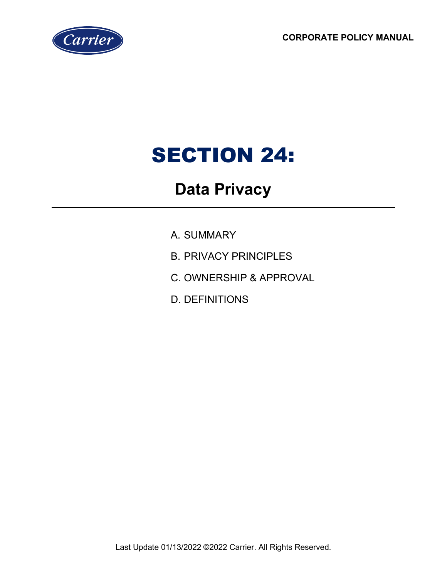**CORPORATE POLICY MANUAL**



# SECTION 24:

## **Data Privacy**

- A. SUMMARY
- B. PRIVACY PRINCIPLES
- C. OWNERSHIP & APPROVAL
- D. DEFINITIONS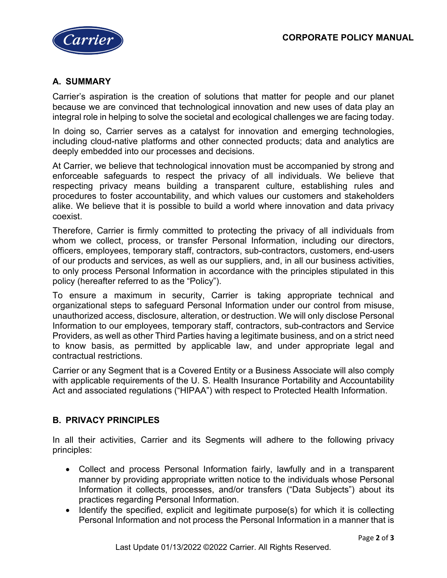

### **A. SUMMARY**

Carrier's aspiration is the creation of solutions that matter for people and our planet because we are convinced that technological innovation and new uses of data play an integral role in helping to solve the societal and ecological challenges we are facing today.

In doing so, Carrier serves as a catalyst for innovation and emerging technologies, including cloud-native platforms and other connected products; data and analytics are deeply embedded into our processes and decisions.

At Carrier, we believe that technological innovation must be accompanied by strong and enforceable safeguards to respect the privacy of all individuals. We believe that respecting privacy means building a transparent culture, establishing rules and procedures to foster accountability, and which values our customers and stakeholders alike. We believe that it is possible to build a world where innovation and data privacy coexist.

Therefore, Carrier is firmly committed to protecting the privacy of all individuals from whom we collect, process, or transfer Personal Information, including our directors, officers, employees, temporary staff, contractors, sub-contractors, customers, end-users of our products and services, as well as our suppliers, and, in all our business activities, to only process Personal Information in accordance with the principles stipulated in this policy (hereafter referred to as the "Policy").

To ensure a maximum in security, Carrier is taking appropriate technical and organizational steps to safeguard Personal Information under our control from misuse, unauthorized access, disclosure, alteration, or destruction. We will only disclose Personal Information to our employees, temporary staff, contractors, sub-contractors and Service Providers, as well as other Third Parties having a legitimate business, and on a strict need to know basis, as permitted by applicable law, and under appropriate legal and contractual restrictions.

Carrier or any Segment that is a Covered Entity or a Business Associate will also comply with applicable requirements of the U. S. Health Insurance Portability and Accountability Act and associated regulations ("HIPAA") with respect to Protected Health Information.

#### **B. PRIVACY PRINCIPLES**

In all their activities, Carrier and its Segments will adhere to the following privacy principles:

- Collect and process Personal Information fairly, lawfully and in a transparent manner by providing appropriate written notice to the individuals whose Personal Information it collects, processes, and/or transfers ("Data Subjects") about its practices regarding Personal Information.
- Identify the specified, explicit and legitimate purpose(s) for which it is collecting Personal Information and not process the Personal Information in a manner that is